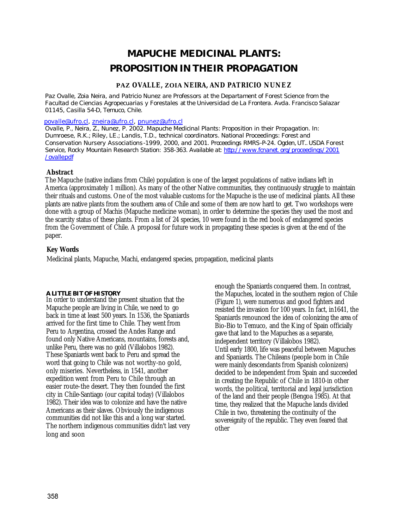# **MAPUCHE MEDICINAL PLANTS: PROPOSITION IN THEIR PROPAGATION**

# **PAZ OVALLE, ZOIA NEIRA, AND PATRICIO NUNEZ**

*Paz Ovalle, Zoia Neira, and Patricio Nunez are Professors at the Departament of Forest Science from the Facultad de Ciencias Agropecuarias y Forestales at the Universidad de La Frontera. Avda. Francisco Salazar 01145, Casilla 54-D, Temuco, Chile.*

#### *povalle@ufro.cl, zneira@ufro.cl, pnunez@ufro.cl*

*Ovalle, P., Neira, Z., Nunez, P. 2002. Mapuche Medicinal Plants: Proposition in their Propagation. In: Dumroese, R.K.; Riley, LE.; Landis, T.D., technical coordinators. National Proceedings: Forest and Conservation Nursery Associations-1999, 2000, and 2001. Proceedings RMRS-P-24. Ogden, UT.. USDA Forest Service, Rocky Mountain Research Station: 358-363. Available at: http://www.fcnanet. org/proceedings/2001 /ovalle.pdf*

## **Abstract**

The Mapuche (native indians from Chile) population is one of the largest populations of native indians left in America (approximately 1 million). As many of the other Native communities, they continuously struggle to maintain their rituals and customs. One of the most valuable customs for the Mapuche is the use of medicinal plants. All these plants are native plants from the southern area of Chile and some of them are now hard to get. Two workshops were done with a group of Machis (Mapuche medicine woman), in order to determine the species they used the most and the scarcity status of these plants. From a list of 24 species, 10 were found in the red book of endangered species from the Government of Chile. A proposal for future work in propagating these species is given at the end of the paper.

# **Key Words**

Medicinal plants, Mapuche, Machi, endangered species, propagation, medicinal plants

## **A LITTLE BIT OF HISTORY**

In order to understand the present situation that the Mapuche people are living in Chile, we need to go back in time at least 500 years. In 1536, the Spaniards arrived for the first time to Chile. They went from Peru to Argentina, crossed the Andes Range and found only Native Americans, mountains, forests and, unlike Peru, there was no gold (Villalobos 1982). These Spaniards went back to Peru and spread the word that going to Chile was not worthy-no gold, only miseries. Nevertheless, in 1541, another expedition went from Peru to Chile through an easier route-the desert. They then founded the first city in Chile-Santiago (our capital today) (Villalobos 1982). Their idea was to colonize and have the native Americans as their slaves. Obviously the indigenous communities did not like this and a long war started. The northern indigenous communities didn't last very long and soon

enough the Spaniards conquered them. In contrast, the Mapuches, located in the southern region of Chile (Figure 1), were numerous and good fighters and resisted the invasion for 100 years. In fact, in1641, the Spaniards renounced the idea of colonizing the area of Bio-Bio to Temuco, and the King of Spain officially gave that land to the Mapuches as a separate, independent territory (Villalobos 1982). Until early 1800, life was peaceful between Mapuches and Spaniards. The Chileans (people born in Chile were mainly descendants from Spanish colonizers) decided to be independent from Spain and succeeded in creating the Republic of Chile in 1810-in other words, the political, territorial and legal jurisdiction of the land and their people (Bengoa 1985). At that time, they realized that the Mapuche lands divided Chile in two, threatening the continuity of the sovereignity of the republic. They even feared that other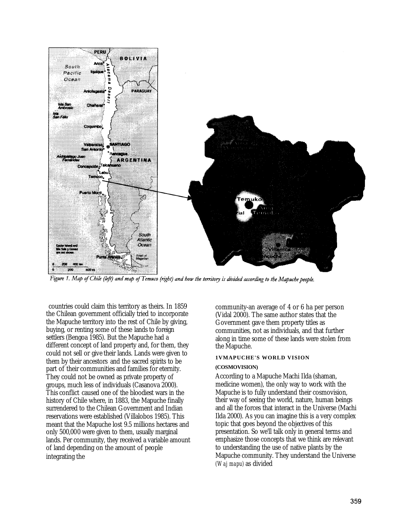

Figure 1. Map of Chile (left) and map of Temuco (right) and how the territory is divided according to the Mapuche people.

countries could claim this territory as theirs. In 1859 the Chilean government officially tried to incorporate the Mapuche territory into the rest of Chile by giving, buying, or renting some of these lands to foreign settlers (Bengoa 1985). But the Mapuche had a different concept of land property and, for them, they could not sell or give their lands. Lands were given to them by their ancestors and the sacred spirits to be part of their communities and families for eternity. They could not be owned as private property of groups, much less of individuals (Casanova 2000). This conflict caused one of the bloodiest wars in the history of Chile where, in 1883, the Mapuche finally surrendered to the Chilean Government and Indian reservations were established (Villalobos 1985). This meant that the Mapuche lost 9.5 millions hectares and only 500,000 were given to them, usually marginal lands. Per community, they received a variable amount of land depending on the amount of people integrating the

community-an average of 4 or 6 ha per person (Vidal 2000). The same author states that the Government gave them property titles as communities, not as individuals, and that further along in time some of these lands were stolen from the Mapuche.

# **1VMAPUCHE'S WORLD VISION (COSMOVISION)**

According to a Mapuche Machi Ilda (shaman, medicine women), the only way to work with the Mapuche is to fully understand their cosmovision, their way of seeing the world, nature, human beings and all the forces that interact in the Universe (Machi Ilda 2000). As you can imagine this is a very complex topic that goes beyond the objectives of this presentation. So we'll talk only in general terms and emphasize those concepts that we think are relevant to understanding the use of native plants by the Mapuche community. They understand the Universe *(Waj mapu)* as divided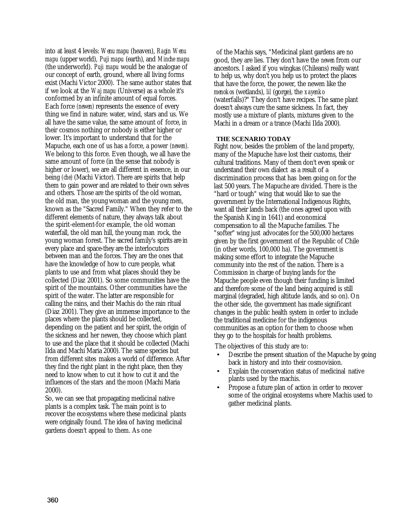into at least 4 levels: *Wenu mapu* (heaven), *Ragin Wenu mapu* (upper world), *Puji mapu* (earth), and *Minche mapu*  (the underworld). *Puji mapu* would be the analogue of our concept of earth, ground, where all living forms exist (Machi Victor 2000). The same author states that if we look at the *Waj mapu* (Universe) as a whole it's conformed by an infinite amount of equal forces. Each force *(newen)* represents the essence of every thing we find in nature: water, wind, stars and us. We all have the same value, the same amount of force, in their cosmos nothing or nobody is either higher or lower. It's important to understand that for the Mapuche, each one of us has a force, a power *(newen).*  We belong to this force. Even though, we all have the same amount of force (in the sense that nobody is higher or lower), we are all different in essence, in our being *(che)* (Machi Victor). There are spirits that help them to gain power and are related to their own selves and others. Those are the spirits of the old woman, the old man, the young woman and the young men, known as the "Sacred Family." When they refer to the different elements of nature, they always talk about the spirit-element-for example, the old woman waterfall, the old man hill, the young man rock, the young woman forest. The sacred family's spirits are in every place and space-they are the interlocutors between man and the forces. They are the ones that have the knowledge of how to cure people, what plants to use and from what places should they be collected (Diaz 2001). So some communities have the spirit of the mountains. Other communities have the spirit of the water. The latter are responsible for calling the rains, and their Machis do the rain ritual (Diaz 2001). They give an immense importance to the places where the plants should be collected, depending on the patient and her spirit, the origin of the sickness and her newen, they choose which plant to use and the place that it should be collected (Machi Ilda and Machi Maria 2000). The same species but from different sites makes a world of difference. After they find the right plant in the right place, then they need to know when to cut it how to cut it and the influences of the stars and the moon (Machi Maria 2000).

So, we can see that propagating medicinal native plants is a complex task. The main point is to recover the ecosystems where these medicinal plants were originally found. The idea of having medicinal gardens doesn't appeal to them. As one

of the Machis says, "Medicinal plant gardens are no good, they are lies. They don't have the *newen* from our ancestors. I asked if you wingkas (Chileans) really want to help us, why don't you help us to protect the places that have the force, the power, the newen like the *menokos* (wetlands), *lil* (gorge), the *xayenko*  (waterfalls)?" They don't have recipes. The same plant doesn't always cure the same sickness. In fact, they mostly use a mixture of plants, mixtures given to the Machi in a dream or a trance (Machi Ilda 2000).

#### **THE SCENARIO TODAY**

Right now, besides the problem of the land property, many of the Mapuche have lost their customs, their cultural traditions. Many of them don't even speak or understand their own dialect as a result of a discrimination process that has been going on for the last 500 years. The Mapuche are divided. There is the "hard or tough" wing that would like to sue the government by the International Indigenous Rights, want all their lands back (the ones agreed upon with the Spanish King in 1641) and economical compensation to all the Mapuche families. The "softer" wing just advocates for the 500,000 hectares given by the first government of the Republic of Chile (in other words, 100,000 ha). The government is making some effort to integrate the Mapuche community into the rest of the nation. There is a Commission in charge of buying lands for the Mapuche people even though their funding is limited and therefore some of the land being acquired is still marginal (degraded, high altitude lands, and so on). On the other side, the government has made significant changes in the public health system in order to include the traditional medicine for the indigenous communities as an option for them to choose when they go to the hospitals for health problems.

The objectives of this study are to:

- Describe the present situation of the Mapuche by going back in history and into their cosmovision.
- Explain the conservation status of medicinal native plants used by the machis.
- Propose a future plan of action in order to recover some of the original ecosystems where Machis used to gather medicinal plants.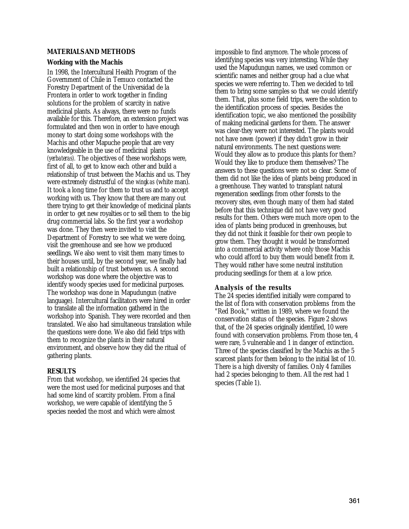#### **MATERIALS AND METHODS**

#### **Working with the Machis**

In 1998, the Intercultural Health Program of the Government of Chile in Temuco contacted the Forestry Department of the Universidad de la Frontera in order to work together in finding solutions for the problem of scarcity in native medicinal plants. As always, there were no funds available for this. Therefore, an extension project was formulated and then won in order to have enough money to start doing some workshops with the Machis and other Mapuche people that are very knowledgeable in the use of medicinal plants *(yerbateras).* The objectives of these workshops were, first of all, to get to know each other and build a relationship of trust between the Machis and us. They were extremely distrustful of the *wingkas* (white man). It took a long time for them to trust us and to accept working with us. They know that there are many out there trying to get their knowledge of medicinal plants in order to get new royalties or to sell them to the big drug commercial labs. So the first year a workshop was done. They then were invited to visit the Department of Forestry to see what we were doing, visit the greenhouse and see how we produced seedlings. We also went to visit them many times to their houses until, by the second year, we finally had built a relationship of trust between us. A second workshop was done where the objective was to identify woody species used for medicinal purposes. The workshop was done in Mapudungun (native language). Intercultural facilitators were hired in order to translate all the information gathered in the workshop into Spanish. They were recorded and then translated. We also had simultaneous translation while the questions were done. We also did field trips with them to recognize the plants in their natural environment, and observe how they did the ritual of gathering plants.

#### **RESULTS**

From that workshop, we identified 24 species that were the most used for medicinal purposes and that had some kind of scarcity problem. From a final workshop, we were capable of identifying the 5 species needed the most and which were almost

impossible to find anymore. The whole process of identifying species was very interesting. While they used the Mapudungun names, we used common or scientific names and neither group had a clue what species we were referring to. Then we decided to tell them to bring some samples so that we could identify them. That, plus some field trips, were the solution to the identification process of species. Besides the identification topic, we also mentioned the possibility of making medicinal gardens for them. The answer was clear-they were not interested. The plants would not have *newen* (power) if they didn't grow in their natural environments. The next questions were: Would they allow as to produce this plants for them? Would they like to produce them themselves? The answers to these questions were not so clear. Some of them did not like the idea of plants being produced in a greenhouse. They wanted to transplant natural regeneration seedlings from other forests to the recovery sites, even though many of them had stated before that this technique did not have very good results for them. Others were much more open to the idea of plants being produced in greenhouses, but they did not think it feasible for their own people to grow them. They thought it would be transformed into a commercial activity where only those Machis who could afford to buy them would benefit from it. They would rather have some neutral institution producing seedlings for them at a low price.

## **Analysis of the results**

The 24 species identified initially were compared to the list of flora with conservation problems from the "Red Book," written in 1989, where we found the conservation status of the species. Figure 2 shows that, of the 24 species originally identified, 10 were found with conservation problems. From those ten, 4 were rare, 5 vulnerable and 1 in danger of extinction. Three of the species classified by the Machis as the 5 scarcest plants for them belong to the initial list of 10. There is a high diversity of families. Only 4 families had 2 species belonging to them. All the rest had 1 species (Table 1).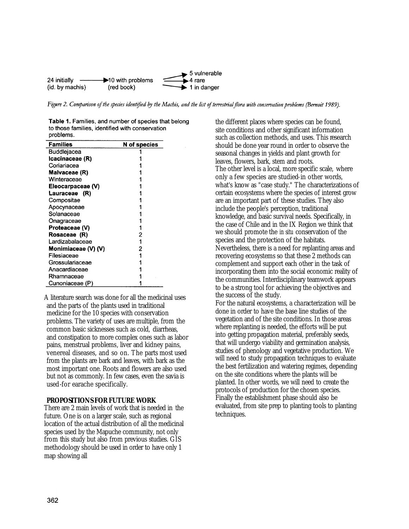

Figure 2. Comparison of the species identified by the Machis, and the list of terrestrial flora with conservation problems (Bernoit 1989).

Table 1. Families, and number of species that belong to those families, identified with conservation problems.

| Families            | N of species |
|---------------------|--------------|
| Buddlejacea         |              |
| Icacinaceae (R)     |              |
| Coriariacea         |              |
| Malvaceae (R)       |              |
| Winteraceae         |              |
| Eleocarpaceae (V)   |              |
| Lauraceae (R)       |              |
| Compositae          |              |
| Apocynaceae         |              |
| Solanaceae          |              |
| Onagraceae          |              |
| Proteaceae (V)      |              |
| Rosaceae (R)        | 2            |
| Lardizabalaceae     |              |
| Monimiaceae (V) (V) | 2            |
| Filesiaceae         |              |
| Grossulariaceae     |              |
| Anacardiaceae       |              |
| Rhamnaceae          |              |
| Cunoniaceae (P)     |              |

A literature search was done for all the medicinal uses and the parts of the plants used in traditional medicine for the 10 species with conservation problems. The variety of uses are multiple, from the common basic sicknesses such as cold, diarrheas, and constipation to more complex ones such as labor pains, menstrual problems, liver and kidney pains, venereal diseases, and so on. The parts most used from the plants are bark and leaves, with bark as the most important one. Roots and flowers are also used but not as commonly. In few cases, even the savia is used-for earache specifically.

## **PROPOSITIONS FOR FUTURE WORK**

There are 2 main levels of work that is needed in the future. One is on a larger scale, such as regional location of the actual distribution of all the medicinal species used by the Mapuche community, not only from this study but also from previous studies. GIS methodology should be used in order to have only 1 map showing all

the different places where species can be found, site conditions and other significant information such as collection methods, and uses. This research should be done year round in order to observe the seasonal changes in yields and plant growth for leaves, flowers, bark, stem and roots. The other level is a local, more specific scale, where only a few species are studied-in other words, what's know as "case study." The characterizations of certain ecosystems where the species of interest grow are an important part of these studies. They also include the people's perception, traditional knowledge, and basic survival needs. Specifically, in the case of Chile and in the IX Region we think that we should promote the *in situ* conservation of the species and the protection of the habitats. Nevertheless, there is a need for replanting areas and recovering ecosystems so that these 2 methods can complement and support each other in the task of incorporating them into the social economic reality of the communities. Interdisciplinary teamwork appears to be a strong tool for achieving the objectives and the success of the study. For the natural ecosystems, a characterization will be done in order to have the base line studies of the vegetation and of the site conditions. In those areas where replanting is needed, the efforts will be put into getting propagation material, preferably seeds, that will undergo viability and germination analysis,

studies of phenology and vegetative production. We will need to study propagation techniques to evaluate the best fertilization and watering regimes, depending on the site conditions where the plants will be planted. In other words, we will need to create the protocols of production for the chosen species. Finally the establishment phase should also be evaluated, from site prep to planting tools to planting techniques.